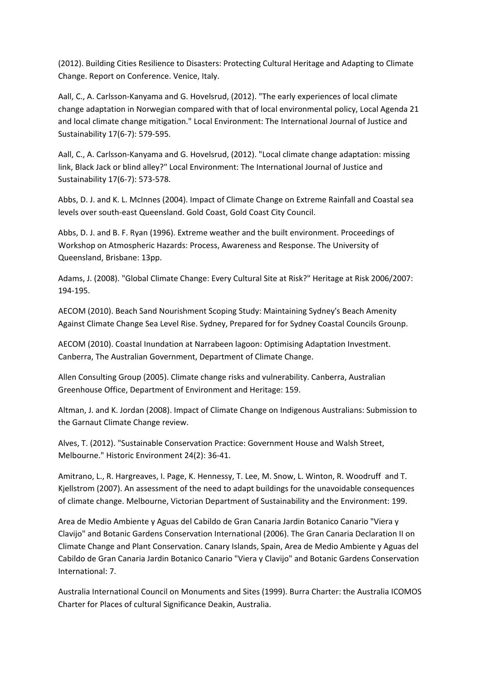(2012). Building Cities Resilience to Disasters: Protecting Cultural Heritage and Adapting to Climate Change. Report on Conference. Venice, Italy.

Aall, C., A. Carlsson‐Kanyama and G. Hovelsrud, (2012). "The early experiences of local climate change adaptation in Norwegian compared with that of local environmental policy, Local Agenda 21 and local climate change mitigation." Local Environment: The International Journal of Justice and Sustainability 17(6‐7): 579‐595.

Aall, C., A. Carlsson-Kanyama and G. Hovelsrud, (2012). "Local climate change adaptation: missing link, Black Jack or blind alley?" Local Environment: The International Journal of Justice and Sustainability 17(6‐7): 573‐578.

Abbs, D. J. and K. L. McInnes (2004). Impact of Climate Change on Extreme Rainfall and Coastal sea levels over south‐east Queensland. Gold Coast, Gold Coast City Council.

Abbs, D. J. and B. F. Ryan (1996). Extreme weather and the built environment. Proceedings of Workshop on Atmospheric Hazards: Process, Awareness and Response. The University of Queensland, Brisbane: 13pp.

Adams, J. (2008). "Global Climate Change: Every Cultural Site at Risk?" Heritage at Risk 2006/2007: 194‐195.

AECOM (2010). Beach Sand Nourishment Scoping Study: Maintaining Sydney's Beach Amenity Against Climate Change Sea Level Rise. Sydney, Prepared for for Sydney Coastal Councils Grounp.

AECOM (2010). Coastal Inundation at Narrabeen lagoon: Optimising Adaptation Investment. Canberra, The Australian Government, Department of Climate Change.

Allen Consulting Group (2005). Climate change risks and vulnerability. Canberra, Australian Greenhouse Office, Department of Environment and Heritage: 159.

Altman, J. and K. Jordan (2008). Impact of Climate Change on Indigenous Australians: Submission to the Garnaut Climate Change review.

Alves, T. (2012). "Sustainable Conservation Practice: Government House and Walsh Street, Melbourne." Historic Environment 24(2): 36‐41.

Amitrano, L., R. Hargreaves, I. Page, K. Hennessy, T. Lee, M. Snow, L. Winton, R. Woodruff and T. Kjellstrom (2007). An assessment of the need to adapt buildings for the unavoidable consequences of climate change. Melbourne, Victorian Department of Sustainability and the Environment: 199.

Area de Medio Ambiente y Aguas del Cabildo de Gran Canaria Jardin Botanico Canario "Viera y Clavijo" and Botanic Gardens Conservation International (2006). The Gran Canaria Declaration II on Climate Change and Plant Conservation. Canary Islands, Spain, Area de Medio Ambiente y Aguas del Cabildo de Gran Canaria Jardin Botanico Canario "Viera y Clavijo" and Botanic Gardens Conservation International: 7.

Australia International Council on Monuments and Sites (1999). Burra Charter: the Australia ICOMOS Charter for Places of cultural Significance Deakin, Australia.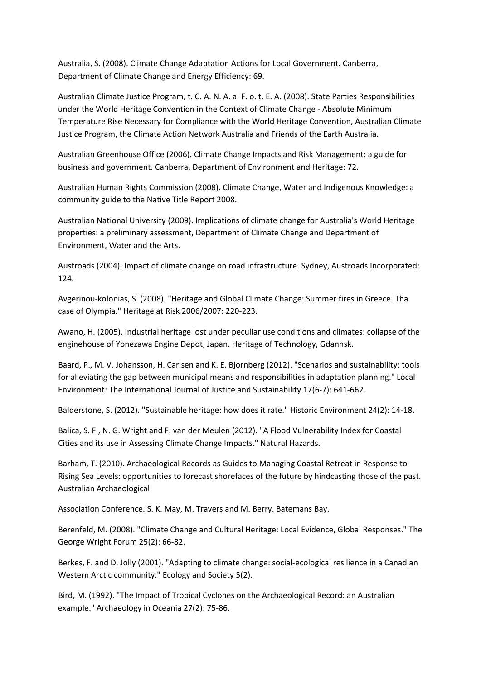Australia, S. (2008). Climate Change Adaptation Actions for Local Government. Canberra, Department of Climate Change and Energy Efficiency: 69.

Australian Climate Justice Program, t. C. A. N. A. a. F. o. t. E. A. (2008). State Parties Responsibilities under the World Heritage Convention in the Context of Climate Change ‐ Absolute Minimum Temperature Rise Necessary for Compliance with the World Heritage Convention, Australian Climate Justice Program, the Climate Action Network Australia and Friends of the Earth Australia.

Australian Greenhouse Office (2006). Climate Change Impacts and Risk Management: a guide for business and government. Canberra, Department of Environment and Heritage: 72.

Australian Human Rights Commission (2008). Climate Change, Water and Indigenous Knowledge: a community guide to the Native Title Report 2008.

Australian National University (2009). Implications of climate change for Australia's World Heritage properties: a preliminary assessment, Department of Climate Change and Department of Environment, Water and the Arts.

Austroads (2004). Impact of climate change on road infrastructure. Sydney, Austroads Incorporated: 124.

Avgerinou‐kolonias, S. (2008). "Heritage and Global Climate Change: Summer fires in Greece. Tha case of Olympia." Heritage at Risk 2006/2007: 220‐223.

Awano, H. (2005). Industrial heritage lost under peculiar use conditions and climates: collapse of the enginehouse of Yonezawa Engine Depot, Japan. Heritage of Technology, Gdannsk.

Baard, P., M. V. Johansson, H. Carlsen and K. E. Bjornberg (2012). "Scenarios and sustainability: tools for alleviating the gap between municipal means and responsibilities in adaptation planning." Local Environment: The International Journal of Justice and Sustainability 17(6‐7): 641‐662.

Balderstone, S. (2012). "Sustainable heritage: how does it rate." Historic Environment 24(2): 14‐18.

Balica, S. F., N. G. Wright and F. van der Meulen (2012). "A Flood Vulnerability Index for Coastal Cities and its use in Assessing Climate Change Impacts." Natural Hazards.

Barham, T. (2010). Archaeological Records as Guides to Managing Coastal Retreat in Response to Rising Sea Levels: opportunities to forecast shorefaces of the future by hindcasting those of the past. Australian Archaeological

Association Conference. S. K. May, M. Travers and M. Berry. Batemans Bay.

Berenfeld, M. (2008). "Climate Change and Cultural Heritage: Local Evidence, Global Responses." The George Wright Forum 25(2): 66‐82.

Berkes, F. and D. Jolly (2001). "Adapting to climate change: social‐ecological resilience in a Canadian Western Arctic community." Ecology and Society 5(2).

Bird, M. (1992). "The Impact of Tropical Cyclones on the Archaeological Record: an Australian example." Archaeology in Oceania 27(2): 75‐86.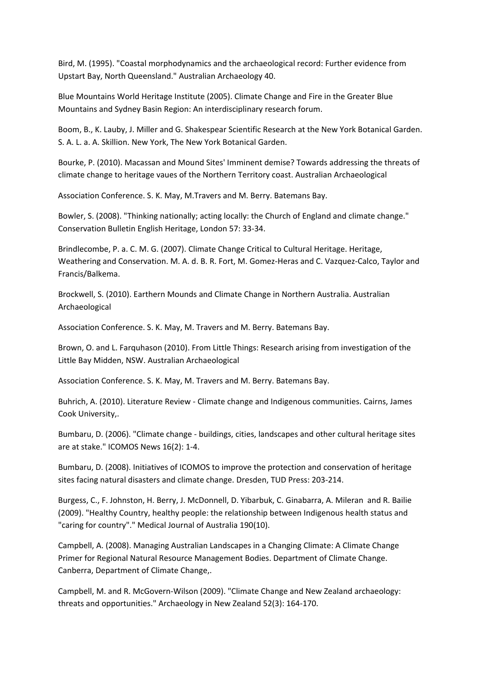Bird, M. (1995). "Coastal morphodynamics and the archaeological record: Further evidence from Upstart Bay, North Queensland." Australian Archaeology 40.

Blue Mountains World Heritage Institute (2005). Climate Change and Fire in the Greater Blue Mountains and Sydney Basin Region: An interdisciplinary research forum.

Boom, B., K. Lauby, J. Miller and G. Shakespear Scientific Research at the New York Botanical Garden. S. A. L. a. A. Skillion. New York, The New York Botanical Garden.

Bourke, P. (2010). Macassan and Mound Sites' Imminent demise? Towards addressing the threats of climate change to heritage vaues of the Northern Territory coast. Australian Archaeological

Association Conference. S. K. May, M.Travers and M. Berry. Batemans Bay.

Bowler, S. (2008). "Thinking nationally; acting locally: the Church of England and climate change." Conservation Bulletin English Heritage, London 57: 33‐34.

Brindlecombe, P. a. C. M. G. (2007). Climate Change Critical to Cultural Heritage. Heritage, Weathering and Conservation. M. A. d. B. R. Fort, M. Gomez-Heras and C. Vazquez-Calco, Taylor and Francis/Balkema.

Brockwell, S. (2010). Earthern Mounds and Climate Change in Northern Australia. Australian Archaeological

Association Conference. S. K. May, M. Travers and M. Berry. Batemans Bay.

Brown, O. and L. Farquhason (2010). From Little Things: Research arising from investigation of the Little Bay Midden, NSW. Australian Archaeological

Association Conference. S. K. May, M. Travers and M. Berry. Batemans Bay.

Buhrich, A. (2010). Literature Review ‐ Climate change and Indigenous communities. Cairns, James Cook University,.

Bumbaru, D. (2006). "Climate change ‐ buildings, cities, landscapes and other cultural heritage sites are at stake." ICOMOS News 16(2): 1‐4.

Bumbaru, D. (2008). Initiatives of ICOMOS to improve the protection and conservation of heritage sites facing natural disasters and climate change. Dresden, TUD Press: 203‐214.

Burgess, C., F. Johnston, H. Berry, J. McDonnell, D. Yibarbuk, C. Ginabarra, A. Mileran and R. Bailie (2009). "Healthy Country, healthy people: the relationship between Indigenous health status and "caring for country"." Medical Journal of Australia 190(10).

Campbell, A. (2008). Managing Australian Landscapes in a Changing Climate: A Climate Change Primer for Regional Natural Resource Management Bodies. Department of Climate Change. Canberra, Department of Climate Change,.

Campbell, M. and R. McGovern‐Wilson (2009). "Climate Change and New Zealand archaeology: threats and opportunities." Archaeology in New Zealand 52(3): 164‐170.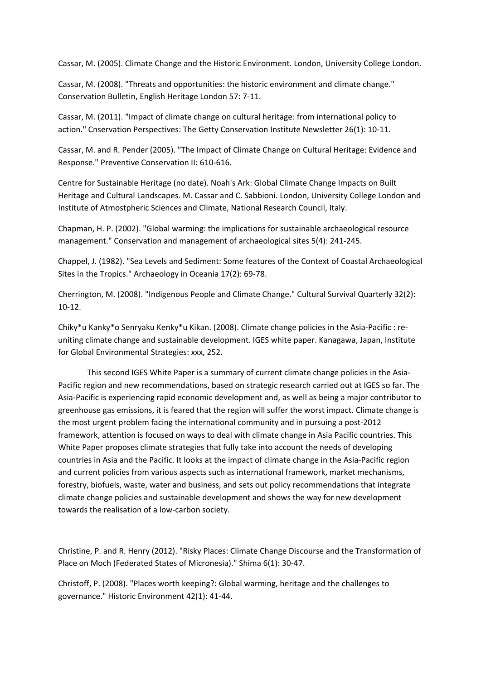Cassar, M. (2005). Climate Change and the Historic Environment. London, University College London.

Cassar, M. (2008). "Threats and opportunities: the historic environment and climate change." Conservation Bulletin, English Heritage London 57: 7‐11.

Cassar, M. (2011). "Impact of climate change on cultural heritage: from international policy to action." Cnservation Perspectives: The Getty Conservation Institute Newsletter 26(1): 10‐11.

Cassar, M. and R. Pender (2005). "The Impact of Climate Change on Cultural Heritage: Evidence and Response." Preventive Conservation II: 610‐616.

Centre for Sustainable Heritage (no date). Noah's Ark: Global Climate Change Impacts on Built Heritage and Cultural Landscapes. M. Cassar and C. Sabbioni. London, University College London and Institute of Atmostpheric Sciences and Climate, National Research Council, Italy.

Chapman, H. P. (2002). "Global warming: the implications for sustainable archaeological resource management." Conservation and management of archaeological sites 5(4): 241‐245.

Chappel, J. (1982). "Sea Levels and Sediment: Some features of the Context of Coastal Archaeological Sites in the Tropics." Archaeology in Oceania 17(2): 69‐78.

Cherrington, M. (2008). "Indigenous People and Climate Change." Cultural Survival Quarterly 32(2): 10‐12.

Chiky\*u Kanky\*o Senryaku Kenky\*u Kikan. (2008). Climate change policies in the Asia‐Pacific : re‐ uniting climate change and sustainable development. IGES white paper. Kanagawa, Japan, Institute for Global Environmental Strategies: xxx, 252.

This second IGES White Paper is a summary of current climate change policies in the Asia‐ Pacific region and new recommendations, based on strategic research carried out at IGES so far. The Asia‐Pacific is experiencing rapid economic development and, as well as being a major contributor to greenhouse gas emissions, it is feared that the region will suffer the worst impact. Climate change is the most urgent problem facing the international community and in pursuing a post‐2012 framework, attention is focused on ways to deal with climate change in Asia Pacific countries. This White Paper proposes climate strategies that fully take into account the needs of developing countries in Asia and the Pacific. It looks at the impact of climate change in the Asia‐Pacific region and current policies from various aspects such as international framework, market mechanisms, forestry, biofuels, waste, water and business, and sets out policy recommendations that integrate climate change policies and sustainable development and shows the way for new development towards the realisation of a low‐carbon society.

Christine, P. and R. Henry (2012). "Risky Places: Climate Change Discourse and the Transformation of Place on Moch (Federated States of Micronesia)." Shima 6(1): 30‐47.

Christoff, P. (2008). "Places worth keeping?: Global warming, heritage and the challenges to governance." Historic Environment 42(1): 41‐44.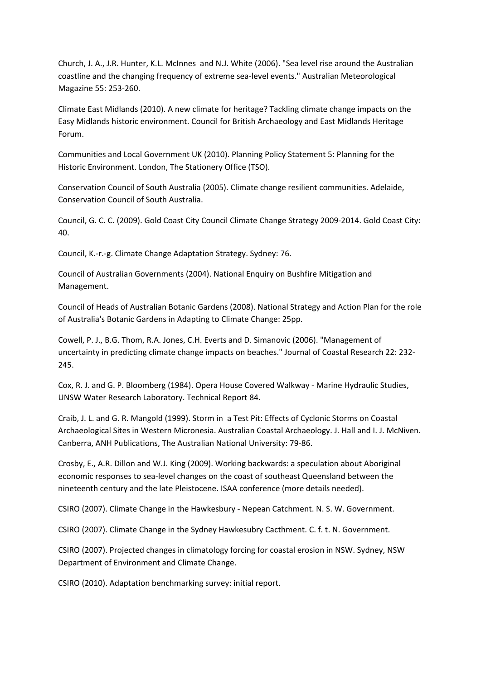Church, J. A., J.R. Hunter, K.L. McInnes and N.J. White (2006). "Sea level rise around the Australian coastline and the changing frequency of extreme sea‐level events." Australian Meteorological Magazine 55: 253‐260.

Climate East Midlands (2010). A new climate for heritage? Tackling climate change impacts on the Easy Midlands historic environment. Council for British Archaeology and East Midlands Heritage Forum.

Communities and Local Government UK (2010). Planning Policy Statement 5: Planning for the Historic Environment. London, The Stationery Office (TSO).

Conservation Council of South Australia (2005). Climate change resilient communities. Adelaide, Conservation Council of South Australia.

Council, G. C. C. (2009). Gold Coast City Council Climate Change Strategy 2009‐2014. Gold Coast City: 40.

Council, K.‐r.‐g. Climate Change Adaptation Strategy. Sydney: 76.

Council of Australian Governments (2004). National Enquiry on Bushfire Mitigation and Management.

Council of Heads of Australian Botanic Gardens (2008). National Strategy and Action Plan for the role of Australia's Botanic Gardens in Adapting to Climate Change: 25pp.

Cowell, P. J., B.G. Thom, R.A. Jones, C.H. Everts and D. Simanovic (2006). "Management of uncertainty in predicting climate change impacts on beaches." Journal of Coastal Research 22: 232‐ 245.

Cox, R. J. and G. P. Bloomberg (1984). Opera House Covered Walkway ‐ Marine Hydraulic Studies, UNSW Water Research Laboratory. Technical Report 84.

Craib, J. L. and G. R. Mangold (1999). Storm in a Test Pit: Effects of Cyclonic Storms on Coastal Archaeological Sites in Western Micronesia. Australian Coastal Archaeology. J. Hall and I. J. McNiven. Canberra, ANH Publications, The Australian National University: 79‐86.

Crosby, E., A.R. Dillon and W.J. King (2009). Working backwards: a speculation about Aboriginal economic responses to sea‐level changes on the coast of southeast Queensland between the nineteenth century and the late Pleistocene. ISAA conference (more details needed).

CSIRO (2007). Climate Change in the Hawkesbury ‐ Nepean Catchment. N. S. W. Government.

CSIRO (2007). Climate Change in the Sydney Hawkesubry Cacthment. C. f. t. N. Government.

CSIRO (2007). Projected changes in climatology forcing for coastal erosion in NSW. Sydney, NSW Department of Environment and Climate Change.

CSIRO (2010). Adaptation benchmarking survey: initial report.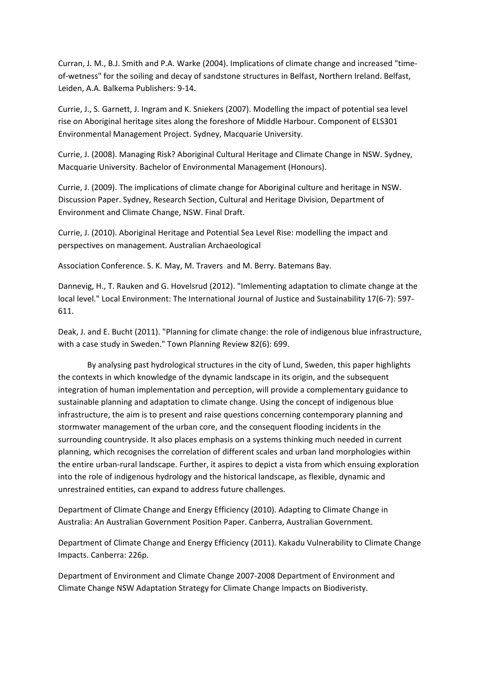Curran, J. M., B.J. Smith and P.A. Warke (2004). Implications of climate change and increased "time‐ of-wetness" for the soiling and decay of sandstone structures in Belfast, Northern Ireland. Belfast, Leiden, A.A. Balkema Publishers: 9‐14.

Currie, J., S. Garnett, J. Ingram and K. Sniekers (2007). Modelling the impact of potential sea level rise on Aboriginal heritage sites along the foreshore of Middle Harbour. Component of ELS301 Environmental Management Project. Sydney, Macquarie University.

Currie, J. (2008). Managing Risk? Aboriginal Cultural Heritage and Climate Change in NSW. Sydney, Macquarie University. Bachelor of Environmental Management (Honours).

Currie, J. (2009). The implications of climate change for Aboriginal culture and heritage in NSW. Discussion Paper. Sydney, Research Section, Cultural and Heritage Division, Department of Environment and Climate Change, NSW. Final Draft.

Currie, J. (2010). Aboriginal Heritage and Potential Sea Level Rise: modelling the impact and perspectives on management. Australian Archaeological

Association Conference. S. K. May, M. Travers and M. Berry. Batemans Bay.

Dannevig, H., T. Rauken and G. Hovelsrud (2012). "Imlementing adaptation to climate change at the local level." Local Environment: The International Journal of Justice and Sustainability 17(6‐7): 597‐ 611.

Deak, J. and E. Bucht (2011). "Planning for climate change: the role of indigenous blue infrastructure, with a case study in Sweden." Town Planning Review 82(6): 699.

By analysing past hydrological structures in the city of Lund, Sweden, this paper highlights the contexts in which knowledge of the dynamic landscape in its origin, and the subsequent integration of human implementation and perception, will provide a complementary guidance to sustainable planning and adaptation to climate change. Using the concept of indigenous blue infrastructure, the aim is to present and raise questions concerning contemporary planning and stormwater management of the urban core, and the consequent flooding incidents in the surrounding countryside. It also places emphasis on a systems thinking much needed in current planning, which recognises the correlation of different scales and urban land morphologies within the entire urban‐rural landscape. Further, it aspires to depict a vista from which ensuing exploration into the role of indigenous hydrology and the historical landscape, as flexible, dynamic and unrestrained entities, can expand to address future challenges.

Department of Climate Change and Energy Efficiency (2010). Adapting to Climate Change in Australia: An Australian Government Position Paper. Canberra, Australian Government.

Department of Climate Change and Energy Efficiency (2011). Kakadu Vulnerability to Climate Change Impacts. Canberra: 226p.

Department of Environment and Climate Change 2007‐2008 Department of Environment and Climate Change NSW Adaptation Strategy for Climate Change Impacts on Biodiveristy.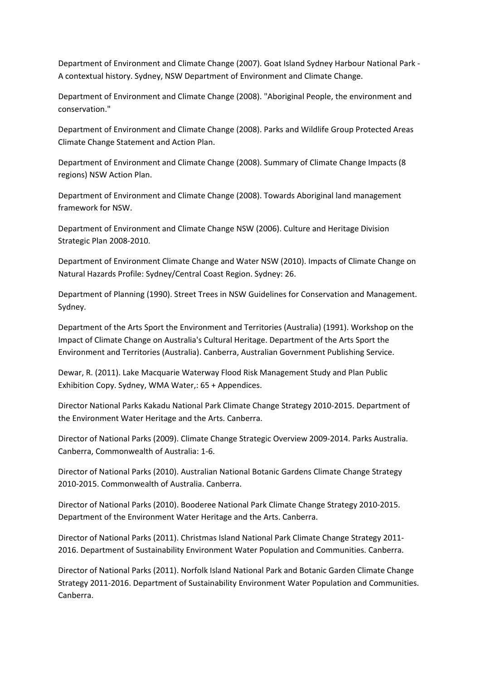Department of Environment and Climate Change (2007). Goat Island Sydney Harbour National Park ‐ A contextual history. Sydney, NSW Department of Environment and Climate Change.

Department of Environment and Climate Change (2008). "Aboriginal People, the environment and conservation."

Department of Environment and Climate Change (2008). Parks and Wildlife Group Protected Areas Climate Change Statement and Action Plan.

Department of Environment and Climate Change (2008). Summary of Climate Change Impacts (8 regions) NSW Action Plan.

Department of Environment and Climate Change (2008). Towards Aboriginal land management framework for NSW.

Department of Environment and Climate Change NSW (2006). Culture and Heritage Division Strategic Plan 2008‐2010.

Department of Environment Climate Change and Water NSW (2010). Impacts of Climate Change on Natural Hazards Profile: Sydney/Central Coast Region. Sydney: 26.

Department of Planning (1990). Street Trees in NSW Guidelines for Conservation and Management. Sydney.

Department of the Arts Sport the Environment and Territories (Australia) (1991). Workshop on the Impact of Climate Change on Australia's Cultural Heritage. Department of the Arts Sport the Environment and Territories (Australia). Canberra, Australian Government Publishing Service.

Dewar, R. (2011). Lake Macquarie Waterway Flood Risk Management Study and Plan Public Exhibition Copy. Sydney, WMA Water,: 65 + Appendices.

Director National Parks Kakadu National Park Climate Change Strategy 2010‐2015. Department of the Environment Water Heritage and the Arts. Canberra.

Director of National Parks (2009). Climate Change Strategic Overview 2009‐2014. Parks Australia. Canberra, Commonwealth of Australia: 1‐6.

Director of National Parks (2010). Australian National Botanic Gardens Climate Change Strategy 2010‐2015. Commonwealth of Australia. Canberra.

Director of National Parks (2010). Booderee National Park Climate Change Strategy 2010‐2015. Department of the Environment Water Heritage and the Arts. Canberra.

Director of National Parks (2011). Christmas Island National Park Climate Change Strategy 2011‐ 2016. Department of Sustainability Environment Water Population and Communities. Canberra.

Director of National Parks (2011). Norfolk Island National Park and Botanic Garden Climate Change Strategy 2011‐2016. Department of Sustainability Environment Water Population and Communities. Canberra.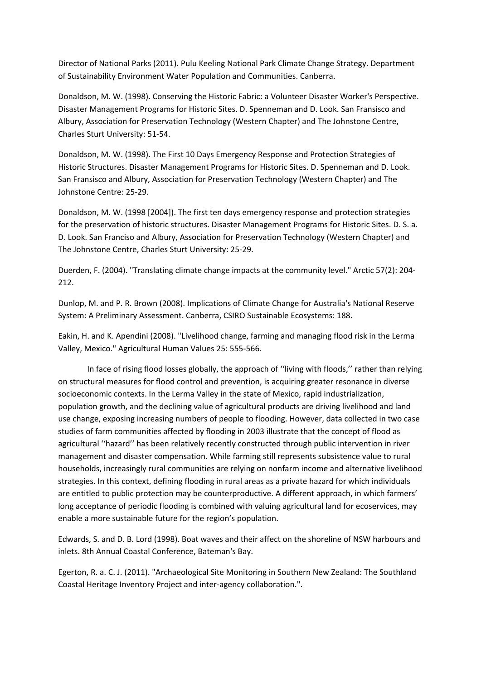Director of National Parks (2011). Pulu Keeling National Park Climate Change Strategy. Department of Sustainability Environment Water Population and Communities. Canberra.

Donaldson, M. W. (1998). Conserving the Historic Fabric: a Volunteer Disaster Worker's Perspective. Disaster Management Programs for Historic Sites. D. Spenneman and D. Look. San Fransisco and Albury, Association for Preservation Technology (Western Chapter) and The Johnstone Centre, Charles Sturt University: 51‐54.

Donaldson, M. W. (1998). The First 10 Days Emergency Response and Protection Strategies of Historic Structures. Disaster Management Programs for Historic Sites. D. Spenneman and D. Look. San Fransisco and Albury, Association for Preservation Technology (Western Chapter) and The Johnstone Centre: 25‐29.

Donaldson, M. W. (1998 [2004]). The first ten days emergency response and protection strategies for the preservation of historic structures. Disaster Management Programs for Historic Sites. D. S. a. D. Look. San Franciso and Albury, Association for Preservation Technology (Western Chapter) and The Johnstone Centre, Charles Sturt University: 25‐29.

Duerden, F. (2004). "Translating climate change impacts at the community level." Arctic 57(2): 204-212.

Dunlop, M. and P. R. Brown (2008). Implications of Climate Change for Australia's National Reserve System: A Preliminary Assessment. Canberra, CSIRO Sustainable Ecosystems: 188.

Eakin, H. and K. Apendini (2008). "Livelihood change, farming and managing flood risk in the Lerma Valley, Mexico." Agricultural Human Values 25: 555‐566.

In face of rising flood losses globally, the approach of ''living with floods,'' rather than relying on structural measures for flood control and prevention, is acquiring greater resonance in diverse socioeconomic contexts. In the Lerma Valley in the state of Mexico, rapid industrialization, population growth, and the declining value of agricultural products are driving livelihood and land use change, exposing increasing numbers of people to flooding. However, data collected in two case studies of farm communities affected by flooding in 2003 illustrate that the concept of flood as agricultural ''hazard'' has been relatively recently constructed through public intervention in river management and disaster compensation. While farming still represents subsistence value to rural households, increasingly rural communities are relying on nonfarm income and alternative livelihood strategies. In this context, defining flooding in rural areas as a private hazard for which individuals are entitled to public protection may be counterproductive. A different approach, in which farmers' long acceptance of periodic flooding is combined with valuing agricultural land for ecoservices, may enable a more sustainable future for the region's population.

Edwards, S. and D. B. Lord (1998). Boat waves and their affect on the shoreline of NSW harbours and inlets. 8th Annual Coastal Conference, Bateman's Bay.

Egerton, R. a. C. J. (2011). "Archaeological Site Monitoring in Southern New Zealand: The Southland Coastal Heritage Inventory Project and inter‐agency collaboration.".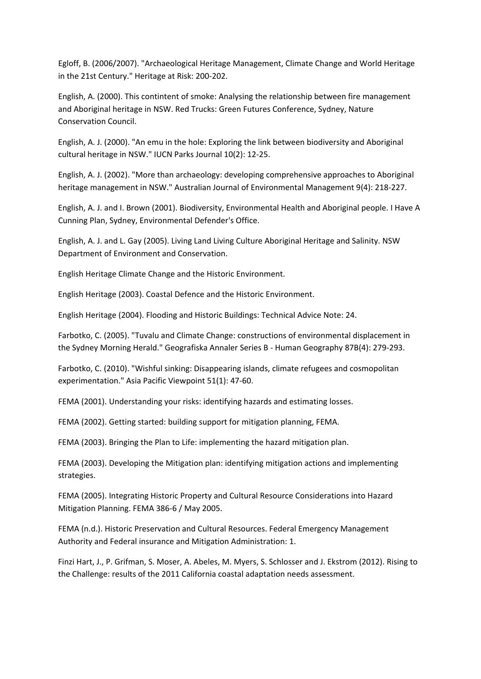Egloff, B. (2006/2007). "Archaeological Heritage Management, Climate Change and World Heritage in the 21st Century." Heritage at Risk: 200‐202.

English, A. (2000). This contintent of smoke: Analysing the relationship between fire management and Aboriginal heritage in NSW. Red Trucks: Green Futures Conference, Sydney, Nature Conservation Council.

English, A. J. (2000). "An emu in the hole: Exploring the link between biodiversity and Aboriginal cultural heritage in NSW." IUCN Parks Journal 10(2): 12‐25.

English, A. J. (2002). "More than archaeology: developing comprehensive approaches to Aboriginal heritage management in NSW." Australian Journal of Environmental Management 9(4): 218‐227.

English, A. J. and I. Brown (2001). Biodiversity, Environmental Health and Aboriginal people. I Have A Cunning Plan, Sydney, Environmental Defender's Office.

English, A. J. and L. Gay (2005). Living Land Living Culture Aboriginal Heritage and Salinity. NSW Department of Environment and Conservation.

English Heritage Climate Change and the Historic Environment.

English Heritage (2003). Coastal Defence and the Historic Environment.

English Heritage (2004). Flooding and Historic Buildings: Technical Advice Note: 24.

Farbotko, C. (2005). "Tuvalu and Climate Change: constructions of environmental displacement in the Sydney Morning Herald." Geografiska Annaler Series B ‐ Human Geography 87B(4): 279‐293.

Farbotko, C. (2010). "Wishful sinking: Disappearing islands, climate refugees and cosmopolitan experimentation." Asia Pacific Viewpoint 51(1): 47‐60.

FEMA (2001). Understanding your risks: identifying hazards and estimating losses.

FEMA (2002). Getting started: building support for mitigation planning, FEMA.

FEMA (2003). Bringing the Plan to Life: implementing the hazard mitigation plan.

FEMA (2003). Developing the Mitigation plan: identifying mitigation actions and implementing strategies.

FEMA (2005). Integrating Historic Property and Cultural Resource Considerations into Hazard Mitigation Planning. FEMA 386‐6 / May 2005.

FEMA (n.d.). Historic Preservation and Cultural Resources. Federal Emergency Management Authority and Federal insurance and Mitigation Administration: 1.

Finzi Hart, J., P. Grifman, S. Moser, A. Abeles, M. Myers, S. Schlosser and J. Ekstrom (2012). Rising to the Challenge: results of the 2011 California coastal adaptation needs assessment.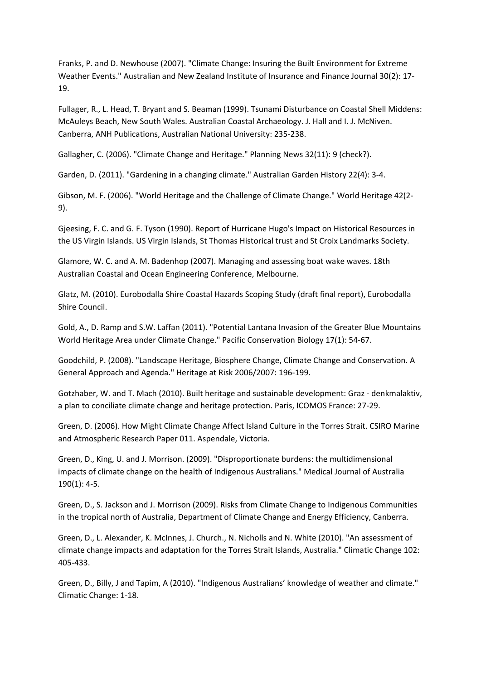Franks, P. and D. Newhouse (2007). "Climate Change: Insuring the Built Environment for Extreme Weather Events." Australian and New Zealand Institute of Insurance and Finance Journal 30(2): 17‐ 19.

Fullager, R., L. Head, T. Bryant and S. Beaman (1999). Tsunami Disturbance on Coastal Shell Middens: McAuleys Beach, New South Wales. Australian Coastal Archaeology. J. Hall and I. J. McNiven. Canberra, ANH Publications, Australian National University: 235‐238.

Gallagher, C. (2006). "Climate Change and Heritage." Planning News 32(11): 9 (check?).

Garden, D. (2011). "Gardening in a changing climate." Australian Garden History 22(4): 3‐4.

Gibson, M. F. (2006). "World Heritage and the Challenge of Climate Change." World Heritage 42(2‐ 9).

Gjeesing, F. C. and G. F. Tyson (1990). Report of Hurricane Hugo's Impact on Historical Resources in the US Virgin Islands. US Virgin Islands, St Thomas Historical trust and St Croix Landmarks Society.

Glamore, W. C. and A. M. Badenhop (2007). Managing and assessing boat wake waves. 18th Australian Coastal and Ocean Engineering Conference, Melbourne.

Glatz, M. (2010). Eurobodalla Shire Coastal Hazards Scoping Study (draft final report), Eurobodalla Shire Council.

Gold, A., D. Ramp and S.W. Laffan (2011). "Potential Lantana Invasion of the Greater Blue Mountains World Heritage Area under Climate Change." Pacific Conservation Biology 17(1): 54‐67.

Goodchild, P. (2008). "Landscape Heritage, Biosphere Change, Climate Change and Conservation. A General Approach and Agenda." Heritage at Risk 2006/2007: 196‐199.

Gotzhaber, W. and T. Mach (2010). Built heritage and sustainable development: Graz ‐ denkmalaktiv, a plan to conciliate climate change and heritage protection. Paris, ICOMOS France: 27‐29.

Green, D. (2006). How Might Climate Change Affect Island Culture in the Torres Strait. CSIRO Marine and Atmospheric Research Paper 011. Aspendale, Victoria.

Green, D., King, U. and J. Morrison. (2009). "Disproportionate burdens: the multidimensional impacts of climate change on the health of Indigenous Australians." Medical Journal of Australia 190(1): 4‐5.

Green, D., S. Jackson and J. Morrison (2009). Risks from Climate Change to Indigenous Communities in the tropical north of Australia, Department of Climate Change and Energy Efficiency, Canberra.

Green, D., L. Alexander, K. McInnes, J. Church., N. Nicholls and N. White (2010). "An assessment of climate change impacts and adaptation for the Torres Strait Islands, Australia." Climatic Change 102: 405‐433.

Green, D., Billy, J and Tapim, A (2010). "Indigenous Australians' knowledge of weather and climate." Climatic Change: 1‐18.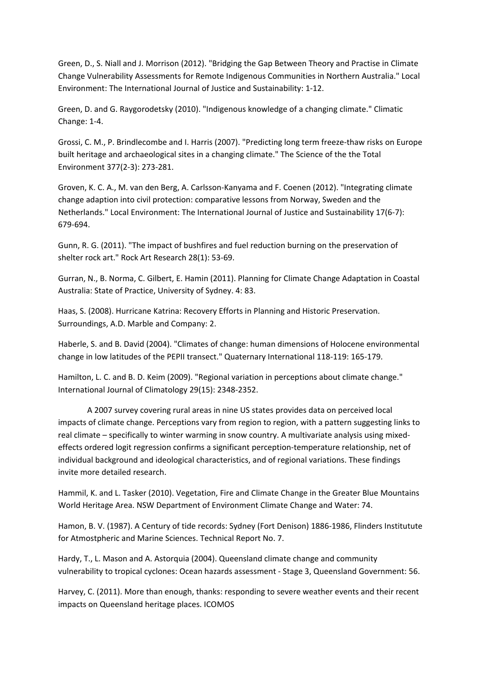Green, D., S. Niall and J. Morrison (2012). "Bridging the Gap Between Theory and Practise in Climate Change Vulnerability Assessments for Remote Indigenous Communities in Northern Australia." Local Environment: The International Journal of Justice and Sustainability: 1‐12.

Green, D. and G. Raygorodetsky (2010). "Indigenous knowledge of a changing climate." Climatic Change: 1‐4.

Grossi, C. M., P. Brindlecombe and I. Harris (2007). "Predicting long term freeze‐thaw risks on Europe built heritage and archaeological sites in a changing climate." The Science of the the Total Environment 377(2‐3): 273‐281.

Groven, K. C. A., M. van den Berg, A. Carlsson‐Kanyama and F. Coenen (2012). "Integrating climate change adaption into civil protection: comparative lessons from Norway, Sweden and the Netherlands." Local Environment: The International Journal of Justice and Sustainability 17(6‐7): 679‐694.

Gunn, R. G. (2011). "The impact of bushfires and fuel reduction burning on the preservation of shelter rock art." Rock Art Research 28(1): 53‐69.

Gurran, N., B. Norma, C. Gilbert, E. Hamin (2011). Planning for Climate Change Adaptation in Coastal Australia: State of Practice, University of Sydney. 4: 83.

Haas, S. (2008). Hurricane Katrina: Recovery Efforts in Planning and Historic Preservation. Surroundings, A.D. Marble and Company: 2.

Haberle, S. and B. David (2004). "Climates of change: human dimensions of Holocene environmental change in low latitudes of the PEPII transect." Quaternary International 118‐119: 165‐179.

Hamilton, L. C. and B. D. Keim (2009). "Regional variation in perceptions about climate change." International Journal of Climatology 29(15): 2348‐2352.

A 2007 survey covering rural areas in nine US states provides data on perceived local impacts of climate change. Perceptions vary from region to region, with a pattern suggesting links to real climate – specifically to winter warming in snow country. A multivariate analysis using mixedeffects ordered logit regression confirms a significant perception‐temperature relationship, net of individual background and ideological characteristics, and of regional variations. These findings invite more detailed research.

Hammil, K. and L. Tasker (2010). Vegetation, Fire and Climate Change in the Greater Blue Mountains World Heritage Area. NSW Department of Environment Climate Change and Water: 74.

Hamon, B. V. (1987). A Century of tide records: Sydney (Fort Denison) 1886‐1986, Flinders Institutute for Atmostpheric and Marine Sciences. Technical Report No. 7.

Hardy, T., L. Mason and A. Astorquia (2004). Queensland climate change and community vulnerability to tropical cyclones: Ocean hazards assessment ‐ Stage 3, Queensland Government: 56.

Harvey, C. (2011). More than enough, thanks: responding to severe weather events and their recent impacts on Queensland heritage places. ICOMOS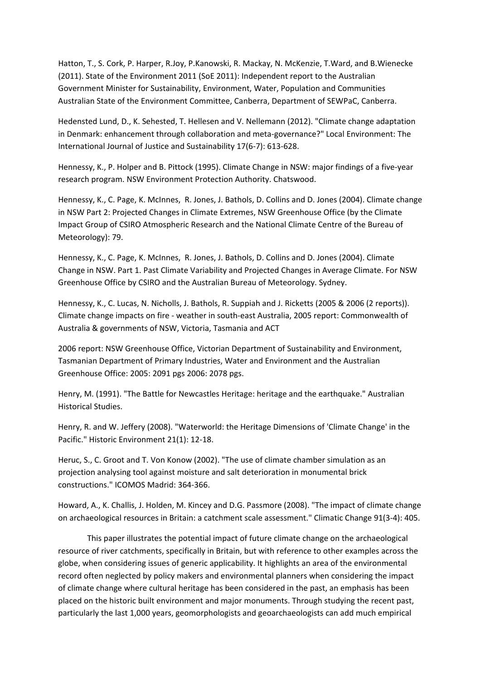Hatton, T., S. Cork, P. Harper, R.Joy, P.Kanowski, R. Mackay, N. McKenzie, T.Ward, and B.Wienecke (2011). State of the Environment 2011 (SoE 2011): Independent report to the Australian Government Minister for Sustainability, Environment, Water, Population and Communities Australian State of the Environment Committee, Canberra, Department of SEWPaC, Canberra.

Hedensted Lund, D., K. Sehested, T. Hellesen and V. Nellemann (2012). "Climate change adaptation in Denmark: enhancement through collaboration and meta‐governance?" Local Environment: The International Journal of Justice and Sustainability 17(6‐7): 613‐628.

Hennessy, K., P. Holper and B. Pittock (1995). Climate Change in NSW: major findings of a five‐year research program. NSW Environment Protection Authority. Chatswood.

Hennessy, K., C. Page, K. McInnes, R. Jones, J. Bathols, D. Collins and D. Jones (2004). Climate change in NSW Part 2: Projected Changes in Climate Extremes, NSW Greenhouse Office (by the Climate Impact Group of CSIRO Atmospheric Research and the National Climate Centre of the Bureau of Meteorology): 79.

Hennessy, K., C. Page, K. McInnes, R. Jones, J. Bathols, D. Collins and D. Jones (2004). Climate Change in NSW. Part 1. Past Climate Variability and Projected Changes in Average Climate. For NSW Greenhouse Office by CSIRO and the Australian Bureau of Meteorology. Sydney.

Hennessy, K., C. Lucas, N. Nicholls, J. Bathols, R. Suppiah and J. Ricketts (2005 & 2006 (2 reports)). Climate change impacts on fire ‐ weather in south‐east Australia, 2005 report: Commonwealth of Australia & governments of NSW, Victoria, Tasmania and ACT

2006 report: NSW Greenhouse Office, Victorian Department of Sustainability and Environment, Tasmanian Department of Primary Industries, Water and Environment and the Australian Greenhouse Office: 2005: 2091 pgs 2006: 2078 pgs.

Henry, M. (1991). "The Battle for Newcastles Heritage: heritage and the earthquake." Australian Historical Studies.

Henry, R. and W. Jeffery (2008). "Waterworld: the Heritage Dimensions of 'Climate Change' in the Pacific." Historic Environment 21(1): 12‐18.

Heruc, S., C. Groot and T. Von Konow (2002). "The use of climate chamber simulation as an projection analysing tool against moisture and salt deterioration in monumental brick constructions." ICOMOS Madrid: 364‐366.

Howard, A., K. Challis, J. Holden, M. Kincey and D.G. Passmore (2008). "The impact of climate change on archaeological resources in Britain: a catchment scale assessment." Climatic Change 91(3‐4): 405.

This paper illustrates the potential impact of future climate change on the archaeological resource of river catchments, specifically in Britain, but with reference to other examples across the globe, when considering issues of generic applicability. It highlights an area of the environmental record often neglected by policy makers and environmental planners when considering the impact of climate change where cultural heritage has been considered in the past, an emphasis has been placed on the historic built environment and major monuments. Through studying the recent past, particularly the last 1,000 years, geomorphologists and geoarchaeologists can add much empirical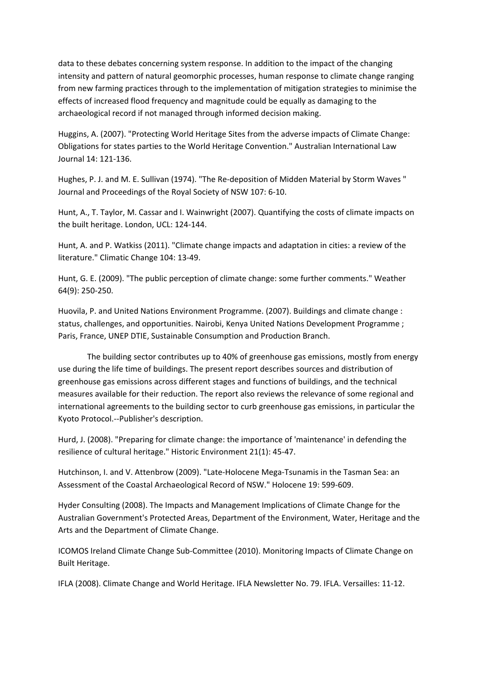data to these debates concerning system response. In addition to the impact of the changing intensity and pattern of natural geomorphic processes, human response to climate change ranging from new farming practices through to the implementation of mitigation strategies to minimise the effects of increased flood frequency and magnitude could be equally as damaging to the archaeological record if not managed through informed decision making.

Huggins, A. (2007). "Protecting World Heritage Sites from the adverse impacts of Climate Change: Obligations for states parties to the World Heritage Convention." Australian International Law Journal 14: 121‐136.

Hughes, P. J. and M. E. Sullivan (1974). "The Re‐deposition of Midden Material by Storm Waves " Journal and Proceedings of the Royal Society of NSW 107: 6‐10.

Hunt, A., T. Taylor, M. Cassar and I. Wainwright (2007). Quantifying the costs of climate impacts on the built heritage. London, UCL: 124‐144.

Hunt, A. and P. Watkiss (2011). "Climate change impacts and adaptation in cities: a review of the literature." Climatic Change 104: 13‐49.

Hunt, G. E. (2009). "The public perception of climate change: some further comments." Weather 64(9): 250‐250.

Huovila, P. and United Nations Environment Programme. (2007). Buildings and climate change : status, challenges, and opportunities. Nairobi, Kenya United Nations Development Programme ; Paris, France, UNEP DTIE, Sustainable Consumption and Production Branch.

The building sector contributes up to 40% of greenhouse gas emissions, mostly from energy use during the life time of buildings. The present report describes sources and distribution of greenhouse gas emissions across different stages and functions of buildings, and the technical measures available for their reduction. The report also reviews the relevance of some regional and international agreements to the building sector to curb greenhouse gas emissions, in particular the Kyoto Protocol.‐‐Publisher's description.

Hurd, J. (2008). "Preparing for climate change: the importance of 'maintenance' in defending the resilience of cultural heritage." Historic Environment 21(1): 45‐47.

Hutchinson, I. and V. Attenbrow (2009). "Late‐Holocene Mega‐Tsunamis in the Tasman Sea: an Assessment of the Coastal Archaeological Record of NSW." Holocene 19: 599‐609.

Hyder Consulting (2008). The Impacts and Management Implications of Climate Change for the Australian Government's Protected Areas, Department of the Environment, Water, Heritage and the Arts and the Department of Climate Change.

ICOMOS Ireland Climate Change Sub‐Committee (2010). Monitoring Impacts of Climate Change on Built Heritage.

IFLA (2008). Climate Change and World Heritage. IFLA Newsletter No. 79. IFLA. Versailles: 11‐12.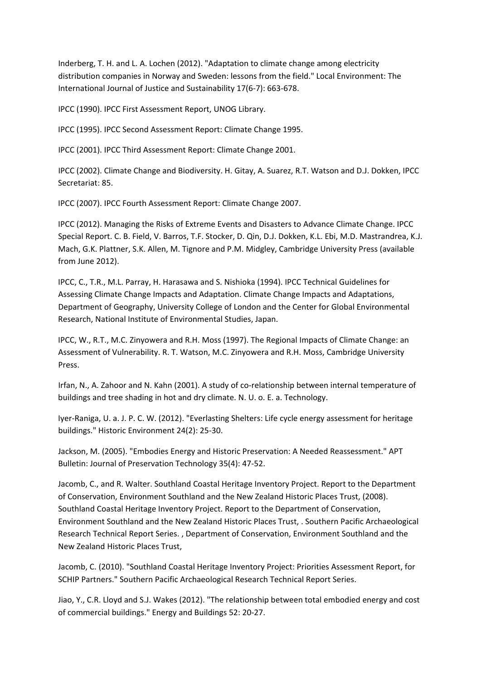Inderberg, T. H. and L. A. Lochen (2012). "Adaptation to climate change among electricity distribution companies in Norway and Sweden: lessons from the field." Local Environment: The International Journal of Justice and Sustainability 17(6‐7): 663‐678.

IPCC (1990). IPCC First Assessment Report, UNOG Library.

IPCC (1995). IPCC Second Assessment Report: Climate Change 1995.

IPCC (2001). IPCC Third Assessment Report: Climate Change 2001.

IPCC (2002). Climate Change and Biodiversity. H. Gitay, A. Suarez, R.T. Watson and D.J. Dokken, IPCC Secretariat: 85.

IPCC (2007). IPCC Fourth Assessment Report: Climate Change 2007.

IPCC (2012). Managing the Risks of Extreme Events and Disasters to Advance Climate Change. IPCC Special Report. C. B. Field, V. Barros, T.F. Stocker, D. Qin, D.J. Dokken, K.L. Ebi, M.D. Mastrandrea, K.J. Mach, G.K. Plattner, S.K. Allen, M. Tignore and P.M. Midgley, Cambridge University Press (available from June 2012).

IPCC, C., T.R., M.L. Parray, H. Harasawa and S. Nishioka (1994). IPCC Technical Guidelines for Assessing Climate Change Impacts and Adaptation. Climate Change Impacts and Adaptations, Department of Geography, University College of London and the Center for Global Environmental Research, National Institute of Environmental Studies, Japan.

IPCC, W., R.T., M.C. Zinyowera and R.H. Moss (1997). The Regional Impacts of Climate Change: an Assessment of Vulnerability. R. T. Watson, M.C. Zinyowera and R.H. Moss, Cambridge University Press.

Irfan, N., A. Zahoor and N. Kahn (2001). A study of co-relationship between internal temperature of buildings and tree shading in hot and dry climate. N. U. o. E. a. Technology.

Iyer‐Raniga, U. a. J. P. C. W. (2012). "Everlasting Shelters: Life cycle energy assessment for heritage buildings." Historic Environment 24(2): 25‐30.

Jackson, M. (2005). "Embodies Energy and Historic Preservation: A Needed Reassessment." APT Bulletin: Journal of Preservation Technology 35(4): 47‐52.

Jacomb, C., and R. Walter. Southland Coastal Heritage Inventory Project. Report to the Department of Conservation, Environment Southland and the New Zealand Historic Places Trust, (2008). Southland Coastal Heritage Inventory Project. Report to the Department of Conservation, Environment Southland and the New Zealand Historic Places Trust, . Southern Pacific Archaeological Research Technical Report Series. , Department of Conservation, Environment Southland and the New Zealand Historic Places Trust,

Jacomb, C. (2010). "Southland Coastal Heritage Inventory Project: Priorities Assessment Report, for SCHIP Partners." Southern Pacific Archaeological Research Technical Report Series.

Jiao, Y., C.R. Lloyd and S.J. Wakes (2012). "The relationship between total embodied energy and cost of commercial buildings." Energy and Buildings 52: 20‐27.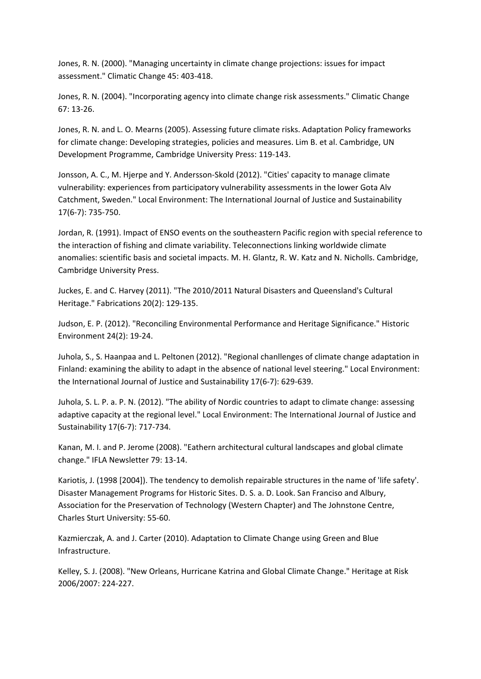Jones, R. N. (2000). "Managing uncertainty in climate change projections: issues for impact assessment." Climatic Change 45: 403‐418.

Jones, R. N. (2004). "Incorporating agency into climate change risk assessments." Climatic Change 67: 13‐26.

Jones, R. N. and L. O. Mearns (2005). Assessing future climate risks. Adaptation Policy frameworks for climate change: Developing strategies, policies and measures. Lim B. et al. Cambridge, UN Development Programme, Cambridge University Press: 119‐143.

Jonsson, A. C., M. Hjerpe and Y. Andersson‐Skold (2012). "Cities' capacity to manage climate vulnerability: experiences from participatory vulnerability assessments in the lower Gota Alv Catchment, Sweden." Local Environment: The International Journal of Justice and Sustainability 17(6‐7): 735‐750.

Jordan, R. (1991). Impact of ENSO events on the southeastern Pacific region with special reference to the interaction of fishing and climate variability. Teleconnections linking worldwide climate anomalies: scientific basis and societal impacts. M. H. Glantz, R. W. Katz and N. Nicholls. Cambridge, Cambridge University Press.

Juckes, E. and C. Harvey (2011). "The 2010/2011 Natural Disasters and Queensland's Cultural Heritage." Fabrications 20(2): 129‐135.

Judson, E. P. (2012). "Reconciling Environmental Performance and Heritage Significance." Historic Environment 24(2): 19‐24.

Juhola, S., S. Haanpaa and L. Peltonen (2012). "Regional chanllenges of climate change adaptation in Finland: examining the ability to adapt in the absence of national level steering." Local Environment: the International Journal of Justice and Sustainability 17(6‐7): 629‐639.

Juhola, S. L. P. a. P. N. (2012). "The ability of Nordic countries to adapt to climate change: assessing adaptive capacity at the regional level." Local Environment: The International Journal of Justice and Sustainability 17(6‐7): 717‐734.

Kanan, M. I. and P. Jerome (2008). "Eathern architectural cultural landscapes and global climate change." IFLA Newsletter 79: 13‐14.

Kariotis, J. (1998 [2004]). The tendency to demolish repairable structures in the name of 'life safety'. Disaster Management Programs for Historic Sites. D. S. a. D. Look. San Franciso and Albury, Association for the Preservation of Technology (Western Chapter) and The Johnstone Centre, Charles Sturt University: 55‐60.

Kazmierczak, A. and J. Carter (2010). Adaptation to Climate Change using Green and Blue Infrastructure.

Kelley, S. J. (2008). "New Orleans, Hurricane Katrina and Global Climate Change." Heritage at Risk 2006/2007: 224‐227.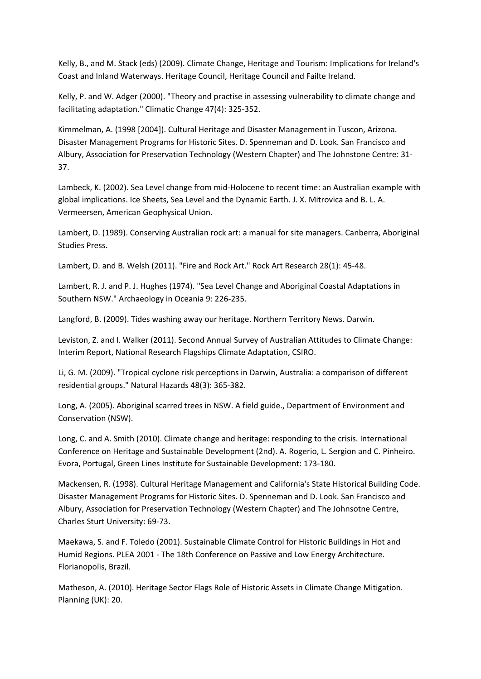Kelly, B., and M. Stack (eds) (2009). Climate Change, Heritage and Tourism: Implications for Ireland's Coast and Inland Waterways. Heritage Council, Heritage Council and Failte Ireland.

Kelly, P. and W. Adger (2000). "Theory and practise in assessing vulnerability to climate change and facilitating adaptation." Climatic Change 47(4): 325‐352.

Kimmelman, A. (1998 [2004]). Cultural Heritage and Disaster Management in Tuscon, Arizona. Disaster Management Programs for Historic Sites. D. Spenneman and D. Look. San Francisco and Albury, Association for Preservation Technology (Western Chapter) and The Johnstone Centre: 31‐ 37.

Lambeck, K. (2002). Sea Level change from mid‐Holocene to recent time: an Australian example with global implications. Ice Sheets, Sea Level and the Dynamic Earth. J. X. Mitrovica and B. L. A. Vermeersen, American Geophysical Union.

Lambert, D. (1989). Conserving Australian rock art: a manual for site managers. Canberra, Aboriginal Studies Press.

Lambert, D. and B. Welsh (2011). "Fire and Rock Art." Rock Art Research 28(1): 45‐48.

Lambert, R. J. and P. J. Hughes (1974). "Sea Level Change and Aboriginal Coastal Adaptations in Southern NSW." Archaeology in Oceania 9: 226‐235.

Langford, B. (2009). Tides washing away our heritage. Northern Territory News. Darwin.

Leviston, Z. and I. Walker (2011). Second Annual Survey of Australian Attitudes to Climate Change: Interim Report, National Research Flagships Climate Adaptation, CSIRO.

Li, G. M. (2009). "Tropical cyclone risk perceptions in Darwin, Australia: a comparison of different residential groups." Natural Hazards 48(3): 365‐382.

Long, A. (2005). Aboriginal scarred trees in NSW. A field guide., Department of Environment and Conservation (NSW).

Long, C. and A. Smith (2010). Climate change and heritage: responding to the crisis. International Conference on Heritage and Sustainable Development (2nd). A. Rogerio, L. Sergion and C. Pinheiro. Evora, Portugal, Green Lines Institute for Sustainable Development: 173‐180.

Mackensen, R. (1998). Cultural Heritage Management and California's State Historical Building Code. Disaster Management Programs for Historic Sites. D. Spenneman and D. Look. San Francisco and Albury, Association for Preservation Technology (Western Chapter) and The Johnsotne Centre, Charles Sturt University: 69‐73.

Maekawa, S. and F. Toledo (2001). Sustainable Climate Control for Historic Buildings in Hot and Humid Regions. PLEA 2001 ‐ The 18th Conference on Passive and Low Energy Architecture. Florianopolis, Brazil.

Matheson, A. (2010). Heritage Sector Flags Role of Historic Assets in Climate Change Mitigation. Planning (UK): 20.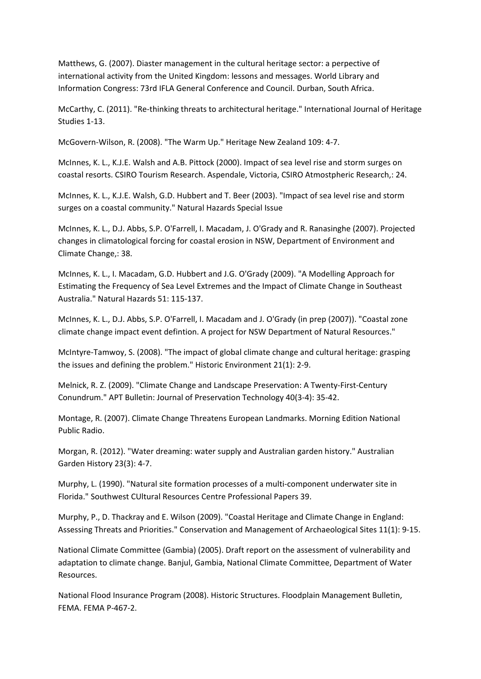Matthews, G. (2007). Diaster management in the cultural heritage sector: a perpective of international activity from the United Kingdom: lessons and messages. World Library and Information Congress: 73rd IFLA General Conference and Council. Durban, South Africa.

McCarthy, C. (2011). "Re‐thinking threats to architectural heritage." International Journal of Heritage Studies 1‐13.

McGovern‐Wilson, R. (2008). "The Warm Up." Heritage New Zealand 109: 4‐7.

McInnes, K. L., K.J.E. Walsh and A.B. Pittock (2000). Impact of sea level rise and storm surges on coastal resorts. CSIRO Tourism Research. Aspendale, Victoria, CSIRO Atmostpheric Research,: 24.

McInnes, K. L., K.J.E. Walsh, G.D. Hubbert and T. Beer (2003). "Impact of sea level rise and storm surges on a coastal community." Natural Hazards Special Issue

McInnes, K. L., D.J. Abbs, S.P. O'Farrell, I. Macadam, J. O'Grady and R. Ranasinghe (2007). Projected changes in climatological forcing for coastal erosion in NSW, Department of Environment and Climate Change,: 38.

McInnes, K. L., I. Macadam, G.D. Hubbert and J.G. O'Grady (2009). "A Modelling Approach for Estimating the Frequency of Sea Level Extremes and the Impact of Climate Change in Southeast Australia." Natural Hazards 51: 115‐137.

McInnes, K. L., D.J. Abbs, S.P. O'Farrell, I. Macadam and J. O'Grady (in prep (2007)). "Coastal zone climate change impact event defintion. A project for NSW Department of Natural Resources."

McIntyre‐Tamwoy, S. (2008). "The impact of global climate change and cultural heritage: grasping the issues and defining the problem." Historic Environment 21(1): 2‐9.

Melnick, R. Z. (2009). "Climate Change and Landscape Preservation: A Twenty‐First‐Century Conundrum." APT Bulletin: Journal of Preservation Technology 40(3‐4): 35‐42.

Montage, R. (2007). Climate Change Threatens European Landmarks. Morning Edition National Public Radio.

Morgan, R. (2012). "Water dreaming: water supply and Australian garden history." Australian Garden History 23(3): 4‐7.

Murphy, L. (1990). "Natural site formation processes of a multi‐component underwater site in Florida." Southwest CUltural Resources Centre Professional Papers 39.

Murphy, P., D. Thackray and E. Wilson (2009). "Coastal Heritage and Climate Change in England: Assessing Threats and Priorities." Conservation and Management of Archaeological Sites 11(1): 9‐15.

National Climate Committee (Gambia) (2005). Draft report on the assessment of vulnerability and adaptation to climate change. Banjul, Gambia, National Climate Committee, Department of Water Resources.

National Flood Insurance Program (2008). Historic Structures. Floodplain Management Bulletin, FEMA. FEMA P‐467‐2.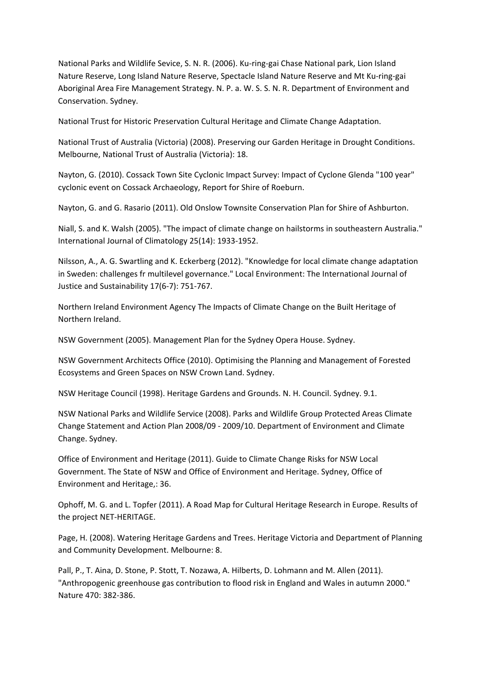National Parks and Wildlife Sevice, S. N. R. (2006). Ku-ring-gai Chase National park, Lion Island Nature Reserve, Long Island Nature Reserve, Spectacle Island Nature Reserve and Mt Ku-ring-gai Aboriginal Area Fire Management Strategy. N. P. a. W. S. S. N. R. Department of Environment and Conservation. Sydney.

National Trust for Historic Preservation Cultural Heritage and Climate Change Adaptation.

National Trust of Australia (Victoria) (2008). Preserving our Garden Heritage in Drought Conditions. Melbourne, National Trust of Australia (Victoria): 18.

Nayton, G. (2010). Cossack Town Site Cyclonic Impact Survey: Impact of Cyclone Glenda "100 year" cyclonic event on Cossack Archaeology, Report for Shire of Roeburn.

Nayton, G. and G. Rasario (2011). Old Onslow Townsite Conservation Plan for Shire of Ashburton.

Niall, S. and K. Walsh (2005). "The impact of climate change on hailstorms in southeastern Australia." International Journal of Climatology 25(14): 1933‐1952.

Nilsson, A., A. G. Swartling and K. Eckerberg (2012). "Knowledge for local climate change adaptation in Sweden: challenges fr multilevel governance." Local Environment: The International Journal of Justice and Sustainability 17(6‐7): 751‐767.

Northern Ireland Environment Agency The Impacts of Climate Change on the Built Heritage of Northern Ireland.

NSW Government (2005). Management Plan for the Sydney Opera House. Sydney.

NSW Government Architects Office (2010). Optimising the Planning and Management of Forested Ecosystems and Green Spaces on NSW Crown Land. Sydney.

NSW Heritage Council (1998). Heritage Gardens and Grounds. N. H. Council. Sydney. 9.1.

NSW National Parks and Wildlife Service (2008). Parks and Wildlife Group Protected Areas Climate Change Statement and Action Plan 2008/09 ‐ 2009/10. Department of Environment and Climate Change. Sydney.

Office of Environment and Heritage (2011). Guide to Climate Change Risks for NSW Local Government. The State of NSW and Office of Environment and Heritage. Sydney, Office of Environment and Heritage,: 36.

Ophoff, M. G. and L. Topfer (2011). A Road Map for Cultural Heritage Research in Europe. Results of the project NET‐HERITAGE.

Page, H. (2008). Watering Heritage Gardens and Trees. Heritage Victoria and Department of Planning and Community Development. Melbourne: 8.

Pall, P., T. Aina, D. Stone, P. Stott, T. Nozawa, A. Hilberts, D. Lohmann and M. Allen (2011). "Anthropogenic greenhouse gas contribution to flood risk in England and Wales in autumn 2000." Nature 470: 382‐386.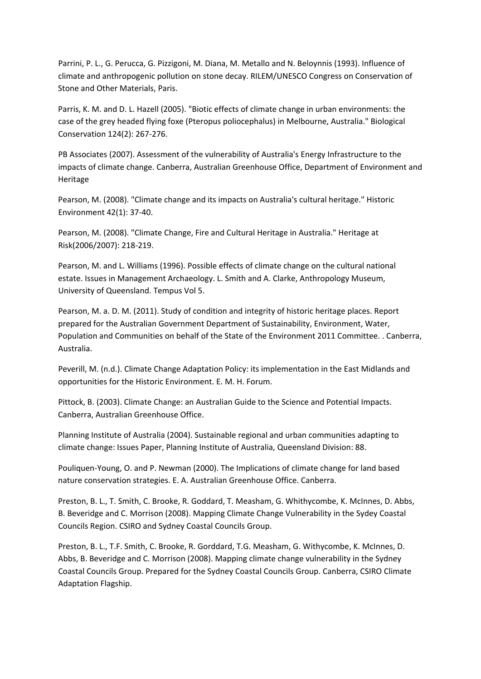Parrini, P. L., G. Perucca, G. Pizzigoni, M. Diana, M. Metallo and N. Beloynnis (1993). Influence of climate and anthropogenic pollution on stone decay. RILEM/UNESCO Congress on Conservation of Stone and Other Materials, Paris.

Parris, K. M. and D. L. Hazell (2005). "Biotic effects of climate change in urban environments: the case of the grey headed flying foxe (Pteropus poliocephalus) in Melbourne, Australia." Biological Conservation 124(2): 267‐276.

PB Associates (2007). Assessment of the vulnerability of Australia's Energy Infrastructure to the impacts of climate change. Canberra, Australian Greenhouse Office, Department of Environment and Heritage

Pearson, M. (2008). "Climate change and its impacts on Australia's cultural heritage." Historic Environment 42(1): 37‐40.

Pearson, M. (2008). "Climate Change, Fire and Cultural Heritage in Australia." Heritage at Risk(2006/2007): 218‐219.

Pearson, M. and L. Williams (1996). Possible effects of climate change on the cultural national estate. Issues in Management Archaeology. L. Smith and A. Clarke, Anthropology Museum, University of Queensland. Tempus Vol 5.

Pearson, M. a. D. M. (2011). Study of condition and integrity of historic heritage places. Report prepared for the Australian Government Department of Sustainability, Environment, Water, Population and Communities on behalf of the State of the Environment 2011 Committee. . Canberra, Australia.

Peverill, M. (n.d.). Climate Change Adaptation Policy: its implementation in the East Midlands and opportunities for the Historic Environment. E. M. H. Forum.

Pittock, B. (2003). Climate Change: an Australian Guide to the Science and Potential Impacts. Canberra, Australian Greenhouse Office.

Planning Institute of Australia (2004). Sustainable regional and urban communities adapting to climate change: Issues Paper, Planning Institute of Australia, Queensland Division: 88.

Pouliquen‐Young, O. and P. Newman (2000). The Implications of climate change for land based nature conservation strategies. E. A. Australian Greenhouse Office. Canberra.

Preston, B. L., T. Smith, C. Brooke, R. Goddard, T. Measham, G. Whithycombe, K. McInnes, D. Abbs, B. Beveridge and C. Morrison (2008). Mapping Climate Change Vulnerability in the Sydey Coastal Councils Region. CSIRO and Sydney Coastal Councils Group.

Preston, B. L., T.F. Smith, C. Brooke, R. Gorddard, T.G. Measham, G. Withycombe, K. McInnes, D. Abbs, B. Beveridge and C. Morrison (2008). Mapping climate change vulnerability in the Sydney Coastal Councils Group. Prepared for the Sydney Coastal Councils Group. Canberra, CSIRO Climate Adaptation Flagship.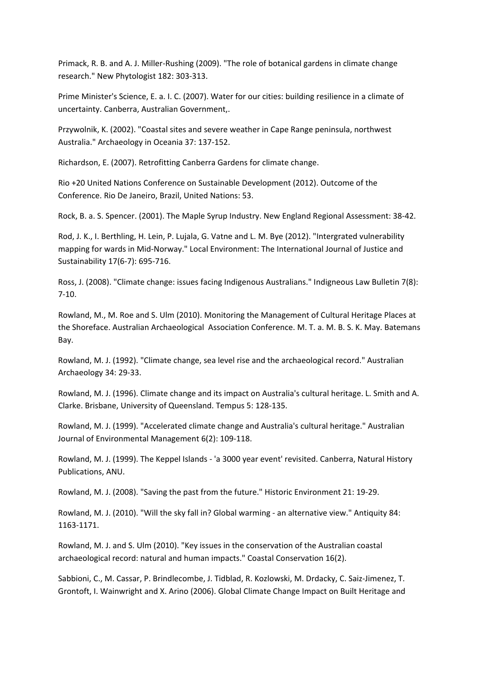Primack, R. B. and A. J. Miller‐Rushing (2009). "The role of botanical gardens in climate change research." New Phytologist 182: 303‐313.

Prime Minister's Science, E. a. I. C. (2007). Water for our cities: building resilience in a climate of uncertainty. Canberra, Australian Government,.

Przywolnik, K. (2002). "Coastal sites and severe weather in Cape Range peninsula, northwest Australia." Archaeology in Oceania 37: 137‐152.

Richardson, E. (2007). Retrofitting Canberra Gardens for climate change.

Rio +20 United Nations Conference on Sustainable Development (2012). Outcome of the Conference. Rio De Janeiro, Brazil, United Nations: 53.

Rock, B. a. S. Spencer. (2001). The Maple Syrup Industry. New England Regional Assessment: 38‐42.

Rod, J. K., I. Berthling, H. Lein, P. Lujala, G. Vatne and L. M. Bye (2012). "Intergrated vulnerability mapping for wards in Mid‐Norway." Local Environment: The International Journal of Justice and Sustainability 17(6‐7): 695‐716.

Ross, J. (2008). "Climate change: issues facing Indigenous Australians." Indigneous Law Bulletin 7(8): 7‐10.

Rowland, M., M. Roe and S. Ulm (2010). Monitoring the Management of Cultural Heritage Places at the Shoreface. Australian Archaeological Association Conference. M. T. a. M. B. S. K. May. Batemans Bay.

Rowland, M. J. (1992). "Climate change, sea level rise and the archaeological record." Australian Archaeology 34: 29‐33.

Rowland, M. J. (1996). Climate change and its impact on Australia's cultural heritage. L. Smith and A. Clarke. Brisbane, University of Queensland. Tempus 5: 128‐135.

Rowland, M. J. (1999). "Accelerated climate change and Australia's cultural heritage." Australian Journal of Environmental Management 6(2): 109‐118.

Rowland, M. J. (1999). The Keppel Islands ‐ 'a 3000 year event' revisited. Canberra, Natural History Publications, ANU.

Rowland, M. J. (2008). "Saving the past from the future." Historic Environment 21: 19‐29.

Rowland, M. J. (2010). "Will the sky fall in? Global warming ‐ an alternative view." Antiquity 84: 1163‐1171.

Rowland, M. J. and S. Ulm (2010). "Key issues in the conservation of the Australian coastal archaeological record: natural and human impacts." Coastal Conservation 16(2).

Sabbioni, C., M. Cassar, P. Brindlecombe, J. Tidblad, R. Kozlowski, M. Drdacky, C. Saiz‐Jimenez, T. Grontoft, I. Wainwright and X. Arino (2006). Global Climate Change Impact on Built Heritage and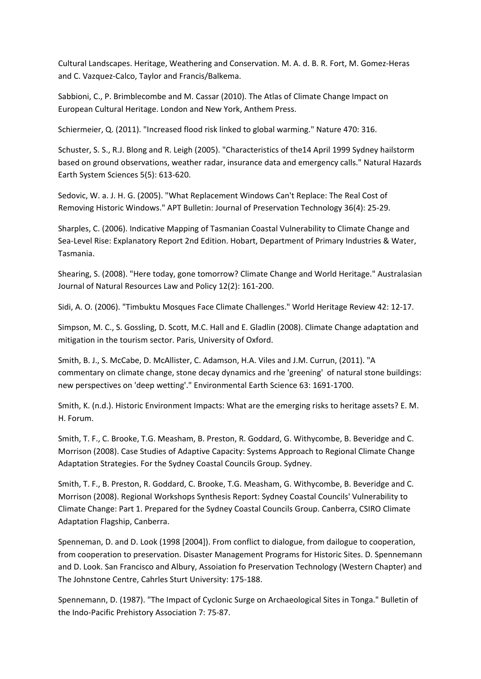Cultural Landscapes. Heritage, Weathering and Conservation. M. A. d. B. R. Fort, M. Gomez‐Heras and C. Vazquez‐Calco, Taylor and Francis/Balkema.

Sabbioni, C., P. Brimblecombe and M. Cassar (2010). The Atlas of Climate Change Impact on European Cultural Heritage. London and New York, Anthem Press.

Schiermeier, Q. (2011). "Increased flood risk linked to global warming." Nature 470: 316.

Schuster, S. S., R.J. Blong and R. Leigh (2005). "Characteristics of the14 April 1999 Sydney hailstorm based on ground observations, weather radar, insurance data and emergency calls." Natural Hazards Earth System Sciences 5(5): 613‐620.

Sedovic, W. a. J. H. G. (2005). "What Replacement Windows Can't Replace: The Real Cost of Removing Historic Windows." APT Bulletin: Journal of Preservation Technology 36(4): 25‐29.

Sharples, C. (2006). Indicative Mapping of Tasmanian Coastal Vulnerability to Climate Change and Sea‐Level Rise: Explanatory Report 2nd Edition. Hobart, Department of Primary Industries & Water, Tasmania.

Shearing, S. (2008). "Here today, gone tomorrow? Climate Change and World Heritage." Australasian Journal of Natural Resources Law and Policy 12(2): 161‐200.

Sidi, A. O. (2006). "Timbuktu Mosques Face Climate Challenges." World Heritage Review 42: 12‐17.

Simpson, M. C., S. Gossling, D. Scott, M.C. Hall and E. Gladlin (2008). Climate Change adaptation and mitigation in the tourism sector. Paris, University of Oxford.

Smith, B. J., S. McCabe, D. McAllister, C. Adamson, H.A. Viles and J.M. Currun, (2011). "A commentary on climate change, stone decay dynamics and rhe 'greening' of natural stone buildings: new perspectives on 'deep wetting'." Environmental Earth Science 63: 1691‐1700.

Smith, K. (n.d.). Historic Environment Impacts: What are the emerging risks to heritage assets? E. M. H. Forum.

Smith, T. F., C. Brooke, T.G. Measham, B. Preston, R. Goddard, G. Withycombe, B. Beveridge and C. Morrison (2008). Case Studies of Adaptive Capacity: Systems Approach to Regional Climate Change Adaptation Strategies. For the Sydney Coastal Councils Group. Sydney.

Smith, T. F., B. Preston, R. Goddard, C. Brooke, T.G. Measham, G. Withycombe, B. Beveridge and C. Morrison (2008). Regional Workshops Synthesis Report: Sydney Coastal Councils' Vulnerability to Climate Change: Part 1. Prepared for the Sydney Coastal Councils Group. Canberra, CSIRO Climate Adaptation Flagship, Canberra.

Spenneman, D. and D. Look (1998 [2004]). From conflict to dialogue, from dailogue to cooperation, from cooperation to preservation. Disaster Management Programs for Historic Sites. D. Spennemann and D. Look. San Francisco and Albury, Assoiation fo Preservation Technology (Western Chapter) and The Johnstone Centre, Cahrles Sturt University: 175‐188.

Spennemann, D. (1987). "The Impact of Cyclonic Surge on Archaeological Sites in Tonga." Bulletin of the Indo‐Pacific Prehistory Association 7: 75‐87.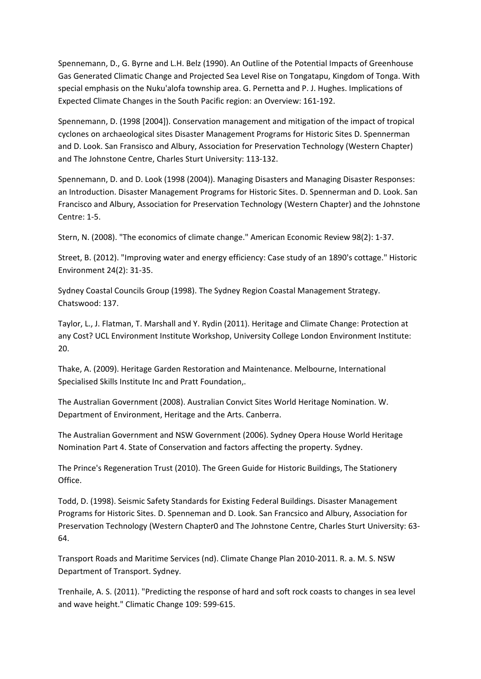Spennemann, D., G. Byrne and L.H. Belz (1990). An Outline of the Potential Impacts of Greenhouse Gas Generated Climatic Change and Projected Sea Level Rise on Tongatapu, Kingdom of Tonga. With special emphasis on the Nuku'alofa township area. G. Pernetta and P. J. Hughes. Implications of Expected Climate Changes in the South Pacific region: an Overview: 161‐192.

Spennemann, D. (1998 [2004]). Conservation management and mitigation of the impact of tropical cyclones on archaeological sites Disaster Management Programs for Historic Sites D. Spennerman and D. Look. San Fransisco and Albury, Association for Preservation Technology (Western Chapter) and The Johnstone Centre, Charles Sturt University: 113‐132.

Spennemann, D. and D. Look (1998 (2004)). Managing Disasters and Managing Disaster Responses: an Introduction. Disaster Management Programs for Historic Sites. D. Spennerman and D. Look. San Francisco and Albury, Association for Preservation Technology (Western Chapter) and the Johnstone Centre: 1‐5.

Stern, N. (2008). "The economics of climate change." American Economic Review 98(2): 1‐37.

Street, B. (2012). "Improving water and energy efficiency: Case study of an 1890's cottage." Historic Environment 24(2): 31‐35.

Sydney Coastal Councils Group (1998). The Sydney Region Coastal Management Strategy. Chatswood: 137.

Taylor, L., J. Flatman, T. Marshall and Y. Rydin (2011). Heritage and Climate Change: Protection at any Cost? UCL Environment Institute Workshop, University College London Environment Institute: 20.

Thake, A. (2009). Heritage Garden Restoration and Maintenance. Melbourne, International Specialised Skills Institute Inc and Pratt Foundation,.

The Australian Government (2008). Australian Convict Sites World Heritage Nomination. W. Department of Environment, Heritage and the Arts. Canberra.

The Australian Government and NSW Government (2006). Sydney Opera House World Heritage Nomination Part 4. State of Conservation and factors affecting the property. Sydney.

The Prince's Regeneration Trust (2010). The Green Guide for Historic Buildings, The Stationery Office.

Todd, D. (1998). Seismic Safety Standards for Existing Federal Buildings. Disaster Management Programs for Historic Sites. D. Spenneman and D. Look. San Francsico and Albury, Association for Preservation Technology (Western Chapter0 and The Johnstone Centre, Charles Sturt University: 63‐ 64.

Transport Roads and Maritime Services (nd). Climate Change Plan 2010‐2011. R. a. M. S. NSW Department of Transport. Sydney.

Trenhaile, A. S. (2011). "Predicting the response of hard and soft rock coasts to changes in sea level and wave height." Climatic Change 109: 599‐615.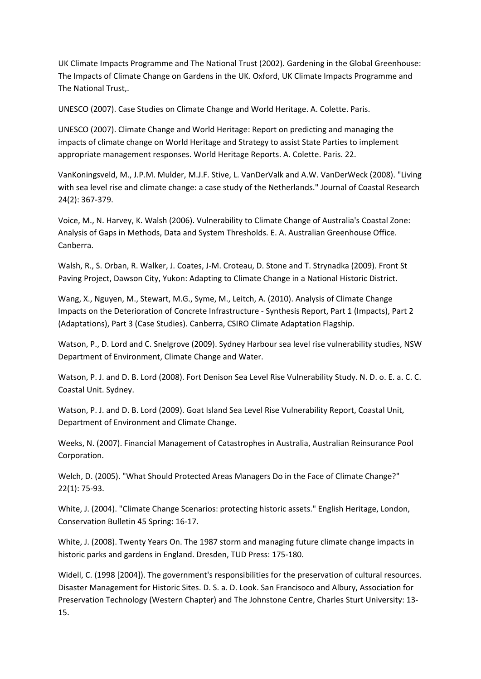UK Climate Impacts Programme and The National Trust (2002). Gardening in the Global Greenhouse: The Impacts of Climate Change on Gardens in the UK. Oxford, UK Climate Impacts Programme and The National Trust,.

UNESCO (2007). Case Studies on Climate Change and World Heritage. A. Colette. Paris.

UNESCO (2007). Climate Change and World Heritage: Report on predicting and managing the impacts of climate change on World Heritage and Strategy to assist State Parties to implement appropriate management responses. World Heritage Reports. A. Colette. Paris. 22.

VanKoningsveld, M., J.P.M. Mulder, M.J.F. Stive, L. VanDerValk and A.W. VanDerWeck (2008). "Living with sea level rise and climate change: a case study of the Netherlands." Journal of Coastal Research 24(2): 367‐379.

Voice, M., N. Harvey, K. Walsh (2006). Vulnerability to Climate Change of Australia's Coastal Zone: Analysis of Gaps in Methods, Data and System Thresholds. E. A. Australian Greenhouse Office. Canberra.

Walsh, R., S. Orban, R. Walker, J. Coates, J‐M. Croteau, D. Stone and T. Strynadka (2009). Front St Paving Project, Dawson City, Yukon: Adapting to Climate Change in a National Historic District.

Wang, X., Nguyen, M., Stewart, M.G., Syme, M., Leitch, A. (2010). Analysis of Climate Change Impacts on the Deterioration of Concrete Infrastructure ‐ Synthesis Report, Part 1 (Impacts), Part 2 (Adaptations), Part 3 (Case Studies). Canberra, CSIRO Climate Adaptation Flagship.

Watson, P., D. Lord and C. Snelgrove (2009). Sydney Harbour sea level rise vulnerability studies, NSW Department of Environment, Climate Change and Water.

Watson, P. J. and D. B. Lord (2008). Fort Denison Sea Level Rise Vulnerability Study. N. D. o. E. a. C. C. Coastal Unit. Sydney.

Watson, P. J. and D. B. Lord (2009). Goat Island Sea Level Rise Vulnerability Report, Coastal Unit, Department of Environment and Climate Change.

Weeks, N. (2007). Financial Management of Catastrophes in Australia, Australian Reinsurance Pool Corporation.

Welch, D. (2005). "What Should Protected Areas Managers Do in the Face of Climate Change?" 22(1): 75‐93.

White, J. (2004). "Climate Change Scenarios: protecting historic assets." English Heritage, London, Conservation Bulletin 45 Spring: 16‐17.

White, J. (2008). Twenty Years On. The 1987 storm and managing future climate change impacts in historic parks and gardens in England. Dresden, TUD Press: 175‐180.

Widell, C. (1998 [2004]). The government's responsibilities for the preservation of cultural resources. Disaster Management for Historic Sites. D. S. a. D. Look. San Francisoco and Albury, Association for Preservation Technology (Western Chapter) and The Johnstone Centre, Charles Sturt University: 13‐ 15.